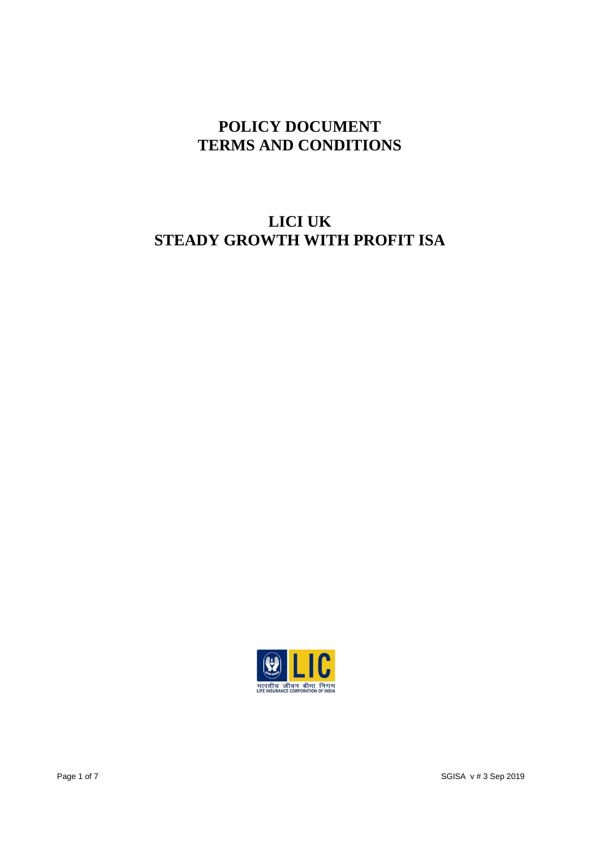## **POLICY DOCUMENT TERMS AND CONDITIONS**

# **LICI UK STEADY GROWTH WITH PROFIT ISA**

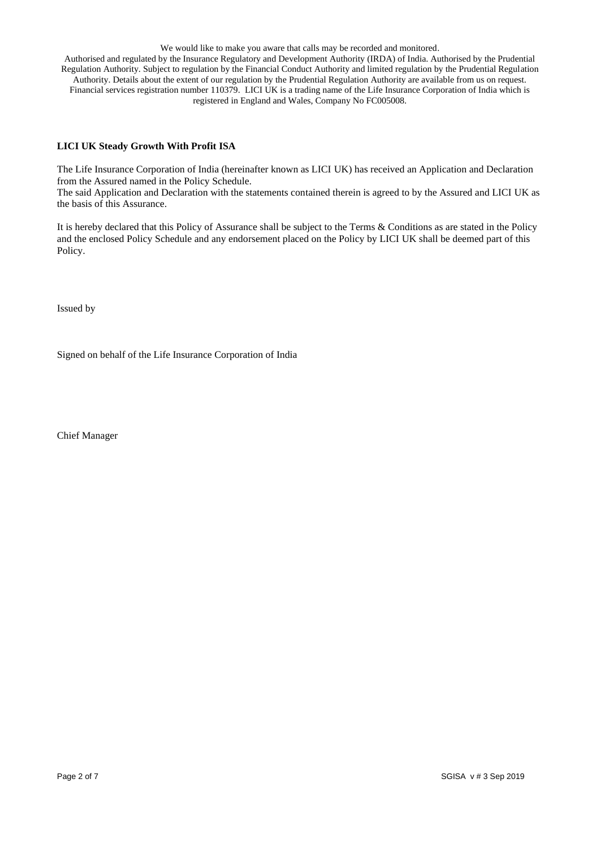We would like to make you aware that calls may be recorded and monitored. Authorised and regulated by the Insurance Regulatory and Development Authority (IRDA) of India. Authorised by the Prudential Regulation Authority. Subject to regulation by the Financial Conduct Authority and limited regulation by the Prudential Regulation Authority. Details about the extent of our regulation by the Prudential Regulation Authority are available from us on request. Financial services registration number 110379. LICI UK is a trading name of the Life Insurance Corporation of India which is registered in England and Wales, Company No FC005008.

### **LICI UK Steady Growth With Profit ISA**

The Life Insurance Corporation of India (hereinafter known as LICI UK) has received an Application and Declaration from the Assured named in the Policy Schedule.

The said Application and Declaration with the statements contained therein is agreed to by the Assured and LICI UK as the basis of this Assurance.

It is hereby declared that this Policy of Assurance shall be subject to the Terms & Conditions as are stated in the Policy and the enclosed Policy Schedule and any endorsement placed on the Policy by LICI UK shall be deemed part of this Policy.

Issued by

Signed on behalf of the Life Insurance Corporation of India

Chief Manager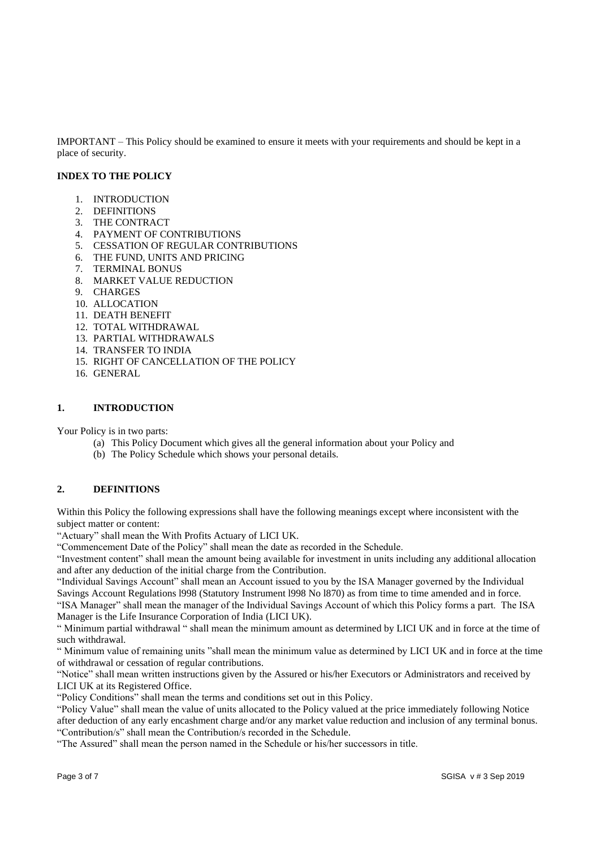IMPORTANT – This Policy should be examined to ensure it meets with your requirements and should be kept in a place of security.

### **INDEX TO THE POLICY**

- 1. INTRODUCTION
- 2. DEFINITIONS
- 3. THE CONTRACT
- 4. PAYMENT OF CONTRIBUTIONS
- 5. CESSATION OF REGULAR CONTRIBUTIONS
- 6. THE FUND, UNITS AND PRICING
- 7. TERMINAL BONUS
- 8. MARKET VALUE REDUCTION
- 9. CHARGES
- 10. ALLOCATION
- 11. DEATH BENEFIT
- 12. TOTAL WITHDRAWAL
- 13. PARTIAL WITHDRAWALS
- 14. TRANSFER TO INDIA
- 15. RIGHT OF CANCELLATION OF THE POLICY
- 16. GENERAL

#### **1. INTRODUCTION**

Your Policy is in two parts:

- (a) This Policy Document which gives all the general information about your Policy and
- (b) The Policy Schedule which shows your personal details.

#### **2. DEFINITIONS**

Within this Policy the following expressions shall have the following meanings except where inconsistent with the subject matter or content:

"Actuary" shall mean the With Profits Actuary of LICI UK.

"Commencement Date of the Policy" shall mean the date as recorded in the Schedule.

"Investment content" shall mean the amount being available for investment in units including any additional allocation and after any deduction of the initial charge from the Contribution.

"Individual Savings Account" shall mean an Account issued to you by the ISA Manager governed by the Individual Savings Account Regulations l998 (Statutory Instrument l998 No l870) as from time to time amended and in force.

"ISA Manager" shall mean the manager of the Individual Savings Account of which this Policy forms a part. The ISA Manager is the Life Insurance Corporation of India (LICI UK).

" Minimum partial withdrawal " shall mean the minimum amount as determined by LICI UK and in force at the time of such withdrawal.

" Minimum value of remaining units "shall mean the minimum value as determined by LICI UK and in force at the time of withdrawal or cessation of regular contributions.

"Notice" shall mean written instructions given by the Assured or his/her Executors or Administrators and received by LICI UK at its Registered Office.

"Policy Conditions" shall mean the terms and conditions set out in this Policy.

"Policy Value" shall mean the value of units allocated to the Policy valued at the price immediately following Notice after deduction of any early encashment charge and/or any market value reduction and inclusion of any terminal bonus. "Contribution/s" shall mean the Contribution/s recorded in the Schedule.

"The Assured" shall mean the person named in the Schedule or his/her successors in title.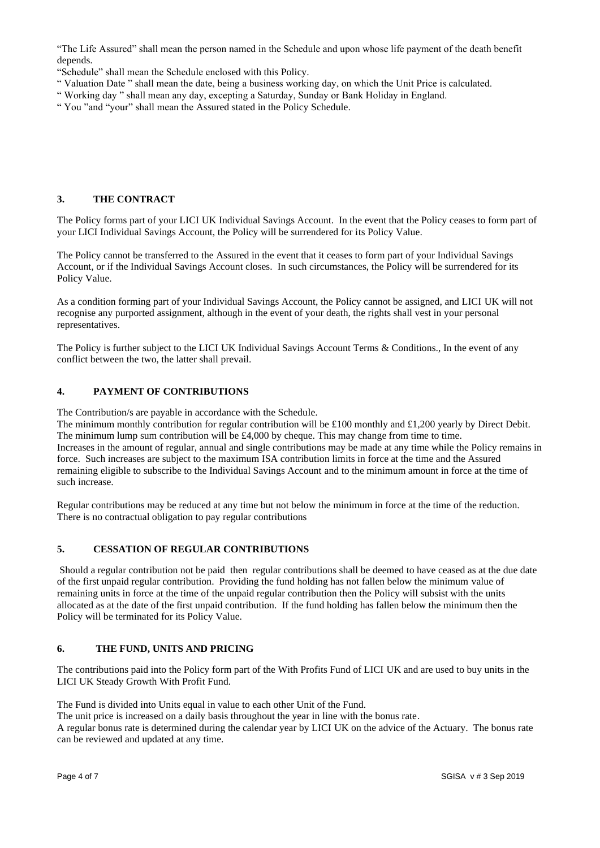"The Life Assured" shall mean the person named in the Schedule and upon whose life payment of the death benefit depends.

"Schedule" shall mean the Schedule enclosed with this Policy.

- " Valuation Date " shall mean the date, being a business working day, on which the Unit Price is calculated.
- " Working day " shall mean any day, excepting a Saturday, Sunday or Bank Holiday in England.
- " You "and "your" shall mean the Assured stated in the Policy Schedule.

## **3. THE CONTRACT**

The Policy forms part of your LICI UK Individual Savings Account. In the event that the Policy ceases to form part of your LICI Individual Savings Account, the Policy will be surrendered for its Policy Value.

The Policy cannot be transferred to the Assured in the event that it ceases to form part of your Individual Savings Account, or if the Individual Savings Account closes. In such circumstances, the Policy will be surrendered for its Policy Value.

As a condition forming part of your Individual Savings Account, the Policy cannot be assigned, and LICI UK will not recognise any purported assignment, although in the event of your death, the rights shall vest in your personal representatives.

The Policy is further subject to the LICI UK Individual Savings Account Terms & Conditions., In the event of any conflict between the two, the latter shall prevail.

### **4. PAYMENT OF CONTRIBUTIONS**

The Contribution/s are payable in accordance with the Schedule.

The minimum monthly contribution for regular contribution will be £100 monthly and £1,200 yearly by Direct Debit. The minimum lump sum contribution will be £4,000 by cheque. This may change from time to time. Increases in the amount of regular, annual and single contributions may be made at any time while the Policy remains in force. Such increases are subject to the maximum ISA contribution limits in force at the time and the Assured remaining eligible to subscribe to the Individual Savings Account and to the minimum amount in force at the time of such increase.

Regular contributions may be reduced at any time but not below the minimum in force at the time of the reduction. There is no contractual obligation to pay regular contributions

## **5. CESSATION OF REGULAR CONTRIBUTIONS**

Should a regular contribution not be paid then regular contributions shall be deemed to have ceased as at the due date of the first unpaid regular contribution. Providing the fund holding has not fallen below the minimum value of remaining units in force at the time of the unpaid regular contribution then the Policy will subsist with the units allocated as at the date of the first unpaid contribution. If the fund holding has fallen below the minimum then the Policy will be terminated for its Policy Value.

#### **6. THE FUND, UNITS AND PRICING**

The contributions paid into the Policy form part of the With Profits Fund of LICI UK and are used to buy units in the LICI UK Steady Growth With Profit Fund.

The Fund is divided into Units equal in value to each other Unit of the Fund.

The unit price is increased on a daily basis throughout the year in line with the bonus rate.

A regular bonus rate is determined during the calendar year by LICI UK on the advice of the Actuary. The bonus rate can be reviewed and updated at any time.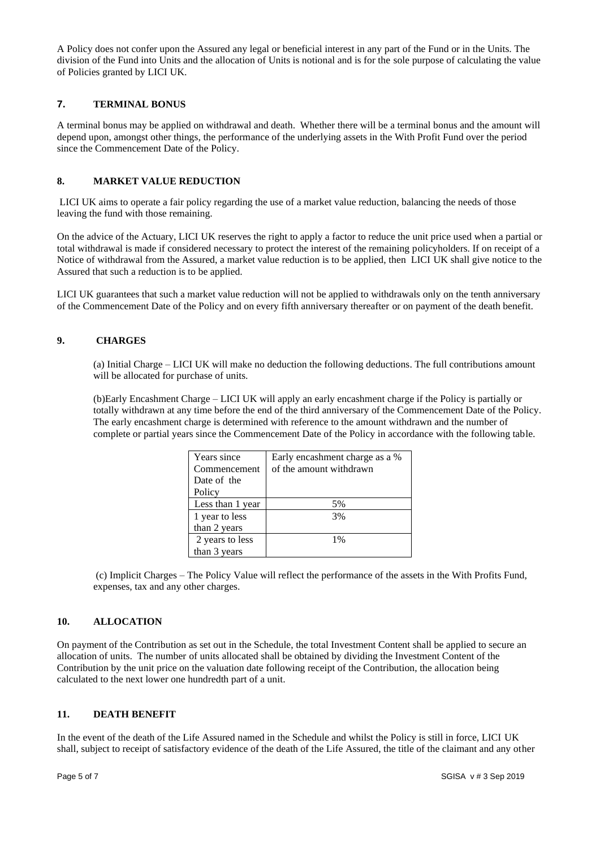A Policy does not confer upon the Assured any legal or beneficial interest in any part of the Fund or in the Units. The division of the Fund into Units and the allocation of Units is notional and is for the sole purpose of calculating the value of Policies granted by LICI UK.

#### **7. TERMINAL BONUS**

A terminal bonus may be applied on withdrawal and death. Whether there will be a terminal bonus and the amount will depend upon, amongst other things, the performance of the underlying assets in the With Profit Fund over the period since the Commencement Date of the Policy.

#### **8. MARKET VALUE REDUCTION**

LICI UK aims to operate a fair policy regarding the use of a market value reduction, balancing the needs of those leaving the fund with those remaining.

On the advice of the Actuary, LICI UK reserves the right to apply a factor to reduce the unit price used when a partial or total withdrawal is made if considered necessary to protect the interest of the remaining policyholders. If on receipt of a Notice of withdrawal from the Assured, a market value reduction is to be applied, then LICI UK shall give notice to the Assured that such a reduction is to be applied.

LICI UK guarantees that such a market value reduction will not be applied to withdrawals only on the tenth anniversary of the Commencement Date of the Policy and on every fifth anniversary thereafter or on payment of the death benefit.

### **9. CHARGES**

(a) Initial Charge – LICI UK will make no deduction the following deductions. The full contributions amount will be allocated for purchase of units.

(b)Early Encashment Charge – LICI UK will apply an early encashment charge if the Policy is partially or totally withdrawn at any time before the end of the third anniversary of the Commencement Date of the Policy. The early encashment charge is determined with reference to the amount withdrawn and the number of complete or partial years since the Commencement Date of the Policy in accordance with the following table.

| Years since      | Early encashment charge as a % |
|------------------|--------------------------------|
| Commencement     | of the amount withdrawn        |
| Date of the      |                                |
| Policy           |                                |
| Less than 1 year | 5%                             |
| 1 year to less   | 3%                             |
| than 2 years     |                                |
| 2 years to less  | 1%                             |
| than 3 years     |                                |

(c) Implicit Charges – The Policy Value will reflect the performance of the assets in the With Profits Fund, expenses, tax and any other charges.

#### **10. ALLOCATION**

On payment of the Contribution as set out in the Schedule, the total Investment Content shall be applied to secure an allocation of units. The number of units allocated shall be obtained by dividing the Investment Content of the Contribution by the unit price on the valuation date following receipt of the Contribution, the allocation being calculated to the next lower one hundredth part of a unit.

#### **11. DEATH BENEFIT**

In the event of the death of the Life Assured named in the Schedule and whilst the Policy is still in force, LICI UK shall, subject to receipt of satisfactory evidence of the death of the Life Assured, the title of the claimant and any other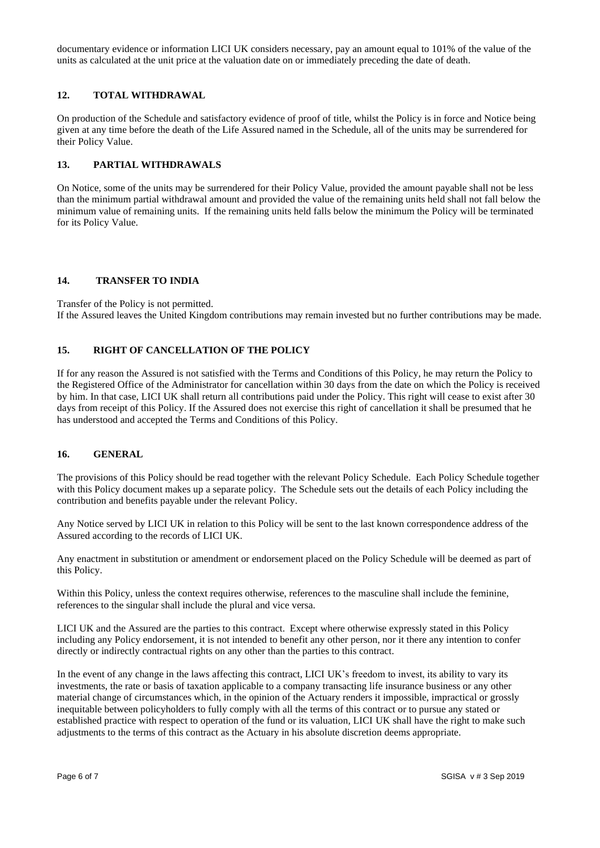documentary evidence or information LICI UK considers necessary, pay an amount equal to 101% of the value of the units as calculated at the unit price at the valuation date on or immediately preceding the date of death.

### **12. TOTAL WITHDRAWAL**

On production of the Schedule and satisfactory evidence of proof of title, whilst the Policy is in force and Notice being given at any time before the death of the Life Assured named in the Schedule, all of the units may be surrendered for their Policy Value.

### **13. PARTIAL WITHDRAWALS**

On Notice, some of the units may be surrendered for their Policy Value, provided the amount payable shall not be less than the minimum partial withdrawal amount and provided the value of the remaining units held shall not fall below the minimum value of remaining units. If the remaining units held falls below the minimum the Policy will be terminated for its Policy Value.

## **14. TRANSFER TO INDIA**

Transfer of the Policy is not permitted. If the Assured leaves the United Kingdom contributions may remain invested but no further contributions may be made.

### **15. RIGHT OF CANCELLATION OF THE POLICY**

If for any reason the Assured is not satisfied with the Terms and Conditions of this Policy, he may return the Policy to the Registered Office of the Administrator for cancellation within 30 days from the date on which the Policy is received by him. In that case, LICI UK shall return all contributions paid under the Policy. This right will cease to exist after 30 days from receipt of this Policy. If the Assured does not exercise this right of cancellation it shall be presumed that he has understood and accepted the Terms and Conditions of this Policy.

#### **16. GENERAL**

The provisions of this Policy should be read together with the relevant Policy Schedule. Each Policy Schedule together with this Policy document makes up a separate policy. The Schedule sets out the details of each Policy including the contribution and benefits payable under the relevant Policy.

Any Notice served by LICI UK in relation to this Policy will be sent to the last known correspondence address of the Assured according to the records of LICI UK.

Any enactment in substitution or amendment or endorsement placed on the Policy Schedule will be deemed as part of this Policy.

Within this Policy, unless the context requires otherwise, references to the masculine shall include the feminine, references to the singular shall include the plural and vice versa.

LICI UK and the Assured are the parties to this contract. Except where otherwise expressly stated in this Policy including any Policy endorsement, it is not intended to benefit any other person, nor it there any intention to confer directly or indirectly contractual rights on any other than the parties to this contract.

In the event of any change in the laws affecting this contract, LICI UK's freedom to invest, its ability to vary its investments, the rate or basis of taxation applicable to a company transacting life insurance business or any other material change of circumstances which, in the opinion of the Actuary renders it impossible, impractical or grossly inequitable between policyholders to fully comply with all the terms of this contract or to pursue any stated or established practice with respect to operation of the fund or its valuation, LICI UK shall have the right to make such adjustments to the terms of this contract as the Actuary in his absolute discretion deems appropriate.